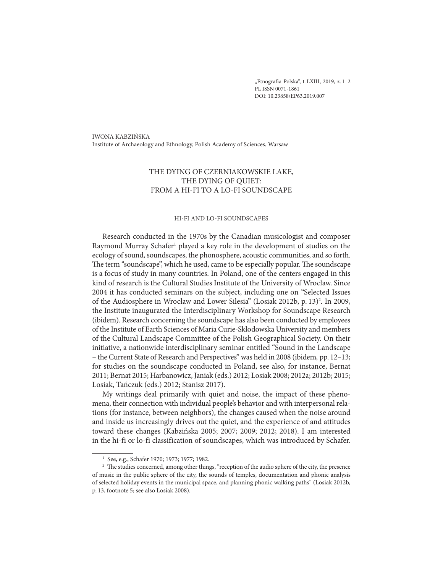"Etnografia Polska", t. LXIII, 2019, z. 1-2 PL ISSN 0071-1861 DOI: 10.23858/EP63.2019.007

IWONA KABZIŃSKA Institute of Archaeology and Ethnology, Polish Academy of Sciences, Warsaw

# THE DYING OF CZERNIAKOWSKIE LAKE, THE DYING OF QUIET: FROM A HI-FI TO A LO-FI SOUNDSCAPE

#### HI-FI AND LO-FI SOUNDSCAPES

Research conducted in the 1970s by the Canadian musicologist and composer Raymond Murray Schafer<sup>1</sup> played a key role in the development of studies on the ecology of sound, soundscapes, the phonosphere, acoustic communities, and so forth. The term "soundscape", which he used, came to be especially popular. The soundscape is a focus of study in many countries. In Poland, one of the centers engaged in this kind of research is the Cultural Studies Institute of the University of Wrocław. Since 2004 it has conducted seminars on the subject, including one on "Selected Issues of the Audiosphere in Wrocław and Lower Silesia" (Losiak 2012b, p. 13)<sup>2</sup>. In 2009, the Institute inaugurated the Interdisciplinary Workshop for Soundscape Research (ibidem). Research concerning the soundscape has also been conducted by employees of the Institute of Earth Sciences of Maria Curie-Skłodowska University and members of the Cultural Landscape Committee of the Polish Geographical Society. On their initiative, a nationwide interdisciplinary seminar entitled "Sound in the Landscape – the Current State of Research and Perspectives" was held in 2008 (ibidem, pp. 12–13; for studies on the soundscape conducted in Poland, see also, for instance, Bernat 2011; Bernat 2015; Harbanowicz, Janiak (eds.) 2012; Losiak 2008; 2012a; 2012b; 2015; Losiak, Tańczuk (eds.) 2012; Stanisz 2017).

My writings deal primarily with quiet and noise, the impact of these pheno mena, their connection with individual people's behavior and with interpersonal relations (for instance, between neighbors), the changes caused when the noise around and inside us increasingly drives out the quiet, and the experience of and attitudes toward these changes (Kabzińska 2005; 2007; 2009; 2012; 2018). I am interested in the hi-fi or lo-fi classification of soundscapes, which was introduced by Schafer.

<sup>1</sup> See, e.g., Schafer 1970; 1973; 1977; 1982.

<sup>&</sup>lt;sup>2</sup> The studies concerned, among other things, "reception of the audio sphere of the city, the presence of music in the public sphere of the city, the sounds of temples, documentation and phonic analysis of selected holiday events in the municipal space, and planning phonic walking paths" (Losiak 2012b, p. 13, footnote 5; see also Losiak 2008).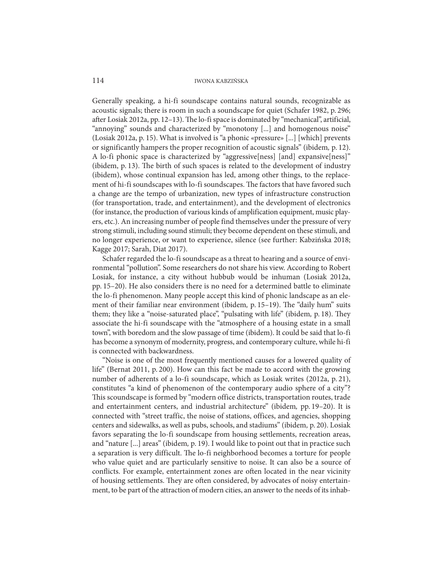Generally speaking, a hi-fi soundscape contains natural sounds, recognizable as acoustic signals; there is room in such a soundscape for quiet (Schafer 1982, p. 296; after Losiak 2012a, pp. 12–13). The lo-fi space is dominated by "mechanical", artificial, "annoying" sounds and characterized by "monotony [...] and homogenous noise" (Losiak 2012a, p. 15). What is involved is "a phonic «pressure» [...] [which] prevents or significantly hampers the proper recognition of acoustic signals" (ibidem, p. 12). A lo-fi phonic space is characterized by "aggressive[ness] [and] expansive[ness]" (ibidem, p. 13). The birth of such spaces is related to the development of industry (ibidem), whose continual expansion has led, among other things, to the replacement of hi-fi soundscapes with lo-fi soundscapes. The factors that have favored such a change are the tempo of urbanization, new types of infrastructure construction (for transportation, trade, and entertainment), and the development of electronics (for instance, the production of various kinds of amplification equipment, music players, etc.). An increasing number of people find themselves under the pressure of very strong stimuli, including sound stimuli; they become dependent on these stimuli, and no longer experience, or want to experience, silence (see further: Kabzińska 2018; Kagge 2017; Sarah, Diat 2017).

Schafer regarded the lo-fi soundscape as a threat to hearing and a source of environmental "pollution". Some researchers do not share his view. According to Robert Losiak, for instance, a city without hubbub would be inhuman (Losiak 2012a, pp. 15–20). He also considers there is no need for a determined battle to eliminate the lo-fi phenomenon. Many people accept this kind of phonic landscape as an element of their familiar near environment (ibidem, p. 15–19). The "daily hum" suits them; they like a "noise-saturated place", "pulsating with life" (ibidem, p. 18). They associate the hi-fi soundscape with the "atmosphere of a housing estate in a small town", with boredom and the slow passage of time (ibidem). It could be said that lo-fi has become a synonym of modernity, progress, and contemporary culture, while hi-fi is connected with backwardness.

"Noise is one of the most frequently mentioned causes for a lowered quality of life" (Bernat 2011, p. 200). How can this fact be made to accord with the growing number of adherents of a lo-fi soundscape, which as Losiak writes (2012a, p. 21), constitutes "a kind of phenomenon of the contemporary audio sphere of a city"? This scoundscape is formed by "modern office districts, transportation routes, trade and entertainment centers, and industrial architecture" (ibidem, pp. 19–20). It is connected with "street traffic, the noise of stations, offices, and agencies, shopping centers and sidewalks, as well as pubs, schools, and stadiums" (ibidem, p. 20). Losiak favors separating the lo-fi soundscape from housing settlements, recreation areas, and "nature [...] areas" (ibidem, p. 19). I would like to point out that in practice such a separation is very difficult. The lo-fi neighborhood becomes a torture for people who value quiet and are particularly sensitive to noise. It can also be a source of conflicts. For example, entertainment zones are often located in the near vicinity of housing settlements. They are often considered, by advocates of noisy entertainment, to be part of the attraction of modern cities, an answer to the needs of its inhab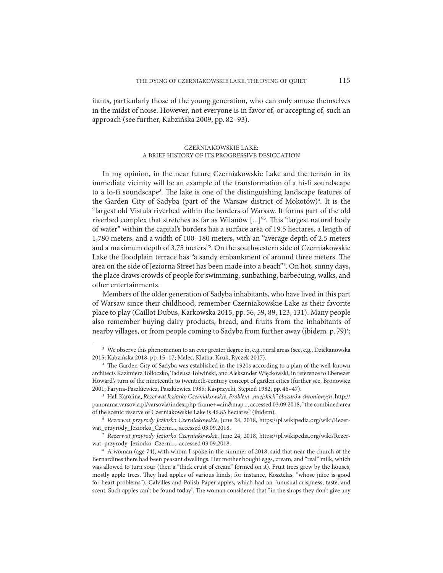itants, particularly those of the young generation, who can only amuse themselves in the midst of noise. However, not everyone is in favor of, or accepting of, such an approach (see further, Kabzińska 2009, pp. 82–93).

# CZERNIAKOWSKIE LAKE: A BRIEF HISTORY OF ITS PROGRESSIVE DESICCATION

In my opinion, in the near future Czerniakowskie Lake and the terrain in its immediate vicinity will be an example of the transformation of a hi-fi soundscape to a lo-fi soundscape<sup>3</sup>. The lake is one of the distinguishing landscape features of the Garden City of Sadyba (part of the Warsaw district of Mokotów)<sup>4</sup>. It is the "largest old Vistula riverbed within the borders of Warsaw. It forms part of the old riverbed complex that stretches as far as Wilanów [...]"<sup>5</sup>. This "largest natural body of water" within the capital's borders has a surface area of 19.5 hectares, a length of 1,780 meters, and a width of 100–180 meters, with an "average depth of 2.5 meters and a maximum depth of 3.75 meters"6 . On the southwestern side of Czerniakowskie Lake the floodplain terrace has "a sandy embankment of around three meters. The area on the side of Jeziorna Street has been made into a beach"7 . On hot, sunny days, the place draws crowds of people for swimming, sunbathing, barbecuing, walks, and other entertainments.

Members of the older generation of Sadyba inhabitants, who have lived in this part of Warsaw since their childhood, remember Czerniakowskie Lake as their favorite place to play (Caillot Dubus, Karkowska 2015, pp. 56, 59, 89, 123, 131). Many people also remember buying dairy products, bread, and fruits from the inhabitants of nearby villages, or from people coming to Sadyba from further away (ibidem, p. 79)<sup>8</sup>;

<sup>7</sup> Rezerwat przyrody Jeziorko Czerniakowskie, June 24, 2018, https://pl.wikipedia.org/wiki/Rezerwat\_przyrody\_Jeziorko\_Czerni..., accessed 03.09.2018.

<sup>3</sup> We observe this phenomenon to an ever greater degree in, e.g., rural areas (see, e.g., Dziekanowska 2015; Kabzińska 2018, pp. 15–17; Malec, Klatka, Kruk, Ryczek 2017).

<sup>4</sup> The Garden City of Sadyba was established in the 1920s according to a plan of the well-known architects Kazimierz Tołłoczko, Tadeusz Tołwiński, and Aleksander Więckowski, in reference to Ebenezer Howard's turn of the nineteenth to twentieth-century concept of garden cities (further see, Bronowicz 2001; Faryna-Paszkiewicz, Paszkiewicz 1985; Kasprzycki, Stępień 1982, pp. 46–47). 5

<sup>&</sup>lt;sup>5</sup> Hall Karolina, Rezerwat Jeziorko Czerniakowskie. Problem "miejskich" obszarów chronionych, http:// panorama.varsovia.pl/varsovia/index.php-frame+=ain&map..., accessed 03.09.2018, "the combined area of the scenic reserve of Czerniakowskie Lake is 46.83 hectares" (ibidem).

<sup>6</sup> Rezerwat przyrody Jeziorko Czerniakowskie, June 24, 2018, https://pl.wikipedia.org/wiki/Rezerwat\_przyrody\_Jeziorko\_Czerni..., accessed 03.09.2018.

<sup>8</sup> A woman (age 74), with whom I spoke in the summer of 2018, said that near the church of the Bernardines there had been peasant dwellings. Her mother bought eggs, cream, and "real" milk, which was allowed to turn sour (then a "thick crust of cream" formed on it). Fruit trees grew by the houses, mostly apple trees. They had apples of various kinds, for instance, Kosztelas, "whose juice is good for heart problems"), Calvilles and Polish Paper apples, which had an "unusual crispness, taste, and scent. Such apples can't be found today". The woman considered that "in the shops they don't give any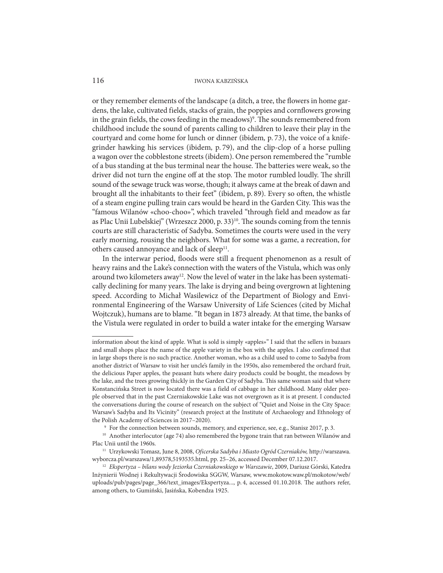or they remember elements of the landscape (a ditch, a tree, the flowers in home gardens, the lake, cultivated fields, stacks of grain, the poppies and cornflowers growing in the grain fields, the cows feeding in the meadows)<sup>9</sup>. The sounds remembered from childhood include the sound of parents calling to children to leave their play in the courtyard and come home for lunch or dinner (ibidem, p. 73), the voice of a knifegrinder hawking his services (ibidem, p. 79), and the clip-clop of a horse pulling a wagon over the cobblestone streets (ibidem). One person remembered the "rumble of a bus standing at the bus terminal near the house. The batteries were weak, so the driver did not turn the engine off at the stop. The motor rumbled loudly. The shrill sound of the sewage truck was worse, though; it always came at the break of dawn and brought all the inhabitants to their feet" (ibidem, p. 89). Every so often, the whistle of a steam engine pulling train cars would be heard in the Garden City. This was the "famous Wilanów «choo-choo»", which traveled "through field and meadow as far as Plac Unii Lubelskiej" (Wrzeszcz 2000, p. 33)<sup>10</sup>. The sounds coming from the tennis courts are still characteristic of Sadyba. Sometimes the courts were used in the very early morning, rousing the neighbors. What for some was a game, a recreation, for others caused annoyance and lack of sleep $11$ .

In the interwar period, floods were still a frequent phenomenon as a result of heavy rains and the Lake's connection with the waters of the Vistula, which was only around two kilometers away<sup>12</sup>. Now the level of water in the lake has been systematically declining for many years. The lake is drying and being overgrown at lightening speed. According to Michał Wasilewicz of the Department of Biology and Environmental Engineering of the Warsaw University of Life Sciences (cited by Michał Wojtczuk), humans are to blame. "It began in 1873 already. At that time, the banks of the Vistula were regulated in order to build a water intake for the emerging Warsaw

information about the kind of apple. What is sold is simply «apples»" I said that the sellers in bazaars and small shops place the name of the apple variety in the box with the apples. I also confirmed that in large shops there is no such practice. Another woman, who as a child used to come to Sadyba from another district of Warsaw to visit her uncle's family in the 1950s, also remembered the orchard fruit, the delicious Paper apples, the peasant huts where dairy products could be bought, the meadows by the lake, and the trees growing thickly in the Garden City of Sadyba. This same woman said that where Konstancińska Street is now located there was a field of cabbage in her childhood. Many older people observed that in the past Czerniakowskie Lake was not overgrown as it is at present. I conducted the conversations during the course of research on the subject of "Quiet and Noise in the City Space: Warsaw's Sadyba and Its Vicinity" (research project at the Institute of Archaeology and Ethnology of the Polish Academy of Sciences in 2017–2020).<br><sup>9</sup> For the connection between sounds, memory, and experience, see, e.g., Stanisz 2017, p. 3.

<sup>&</sup>lt;sup>10</sup> Another interlocutor (age 74) also remembered the bygone train that ran between Wilanów and Plac Unii until the 1960s. 11 Urzykowski Tomasz, June 8, 2008, Oficerska Sadyba i Miasto Ogród Czerniaków, http://warszawa.

wyborcza.pl/warszawa/1,89378,5193535.html, pp. 25–26, accessed December 07.12.2017.

<sup>&</sup>lt;sup>12</sup> Ekspertyza – bilans wody Jeziorka Czerniakowskiego w Warszawie, 2009, Dariusz Górski, Katedra Inżynierii Wodnej i Rekultywacji Środowiska SGGW, Warsaw, www.mokotow.waw.pl/mokotow/web/ uploads/pub/pages/page\_366/text\_images/Ekspertyza..., p. 4, accessed 01.10.2018. The authors refer, among others, to Gumiński, Jasińska, Kobendza 1925.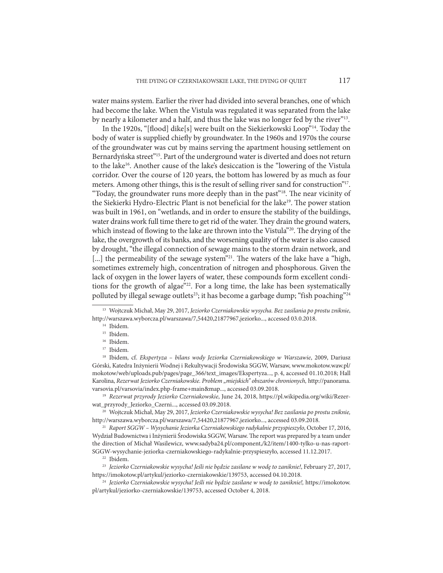water mains system. Earlier the river had divided into several branches, one of which had become the lake. When the Vistula was regulated it was separated from the lake by nearly a kilometer and a half, and thus the lake was no longer fed by the river"13.

In the 1920s, "[flood] dike[s] were built on the Siekierkowski Loop"14. Today the body of water is supplied chiefly by groundwater. In the 1960s and 1970s the course of the groundwater was cut by mains serving the apartment housing settlement on Bernardyńska street"15. Part of the underground water is diverted and does not return to the lake16. Another cause of the lake's desiccation is the "lowering of the Vistula corridor. Over the course of 120 years, the bottom has lowered by as much as four meters. Among other things, this is the result of selling river sand for construction"17. "Today, the groundwater runs more deeply than in the past"18. The near vicinity of the Siekierki Hydro-Electric Plant is not beneficial for the lake<sup>19</sup>. The power station was built in 1961, on "wetlands, and in order to ensure the stability of the buildings, water drains work full time there to get rid of the water. They drain the ground waters, which instead of flowing to the lake are thrown into the Vistula"<sup>20</sup>. The drying of the lake, the overgrowth of its banks, and the worsening quality of the water is also caused by drought, "the illegal connection of sewage mains to the storm drain network, and [...] the permeability of the sewage system"<sup>21</sup>. The waters of the lake have a "high, sometimes extremely high, concentration of nitrogen and phosphorous. Given the lack of oxygen in the lower layers of water, these compounds form excellent conditions for the growth of algae"<sup>22</sup>. For a long time, the lake has been systematically polluted by illegal sewage outlets<sup>23</sup>; it has become a garbage dump; "fish poaching"<sup>24</sup>

<sup>18</sup> Ibidem, cf. Ekspertyza - bilans wody Jeziorka Czerniakowskiego w Warszawie, 2009, Dariusz Górski, Katedra Inżynierii Wodnej i Rekultywacji Środowiska SGGW, Warsaw, www.mokotow.waw.pl/ mokotow/web/uploads.pub/pages/page\_366/text\_images/Ekspertyza..., p. 4, accessed 01.10.2018; Hall Karolina, Rezerwat Jeziorko Czerniakowskie. Problem "miejskich" obszarów chronionych, http://panorama. varsovia.pl/varsovia/index.php-frame+main&map..., accessed 03.09.2018.

<sup>19</sup> Rezerwat przyrody Jeziorko Czerniakowskie, June 24, 2018, https://pl.wikipedia.org/wiki/Rezerwat\_przyrody\_Jeziorko\_Czerni..., accessed 03.09.2018. 20 Wojtczuk Michał, May 29, 2017, Jeziorko Czerniakowskie wysycha! Bez zasilania po prostu zniknie,

http://warszawa.wyborcza.pl/warszawa/7,54420,21877967,jeziorko..., accessed 03.09.2018.<br><sup>21</sup> Raport SGGW – Wysychanie Jeziorka Czerniakowskiego radykalnie przyspieszyło, October 17, 2016,

Wydział Budownictwa i Inżynierii Środowiska SGGW, Warsaw. The report was prepared by a team under the direction of Michał Wasilewicz, www.sadyba24.pl/component,/k2/item/1400-tylko-u-nas-raport-SGGW-wysychanie-jeziorka-czerniakowskiego-radykalnie-przyspieszyło, accessed 11.12.2017.

22 Ibidem.

<sup>23</sup> Jeziorko Czerniakowskie wysycha! Jeśli nie będzie zasilane w wodę to zaniknie!, February 27, 2017, https://imokotow.pl/artykul/jeziorko-czerniakowskie/139753, accessed 04.10.2018.

<sup>24</sup> Jeziorko Czerniakowskie wysycha! Jeśli nie będzie zasilane w wodę to zaniknie!, https://imokotow. pl/artykul/jeziorko-czerniakowskie/139753, accessed October 4, 2018.

<sup>&</sup>lt;sup>13</sup> Wojtczuk Michał, May 29, 2017, Jeziorko Czerniakowskie wysycha. Bez zasilania po prostu zniknie, http://warszawa.wyborcza.pl/warszawa/7,54420,21877967,jeziorko..., accessed 03.0.2018. 14 Ibidem.

<sup>15</sup> Ibidem.

<sup>16</sup> Ibidem.

<sup>17</sup> Ibidem.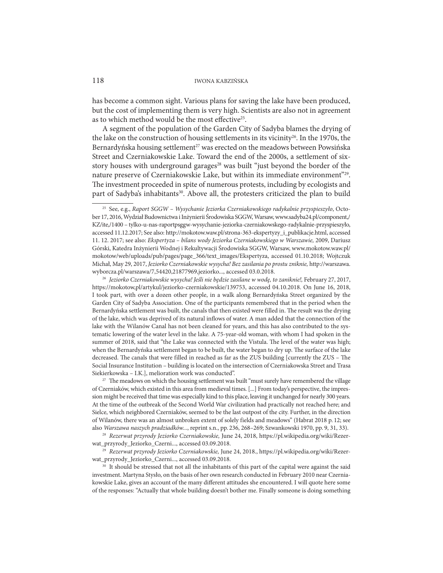has become a common sight. Various plans for saving the lake have been produced, but the cost of implementing them is very high. Scientists are also not in agreement as to which method would be the most effective<sup>25</sup>.

A segment of the population of the Garden City of Sadyba blames the drying of the lake on the construction of housing settlements in its vicinity<sup>26</sup>. In the 1970s, the Bernardyńska housing settlement<sup>27</sup> was erected on the meadows between Powsińska Street and Czerniakowskie Lake. Toward the end of the 2000s, a settlement of sixstory houses with underground garages<sup>28</sup> was built "just beyond the border of the nature preserve of Czerniakowskie Lake, but within its immediate environment"29. The investment proceeded in spite of numerous protests, including by ecologists and part of Sadyba's inhabitants<sup>30</sup>. Above all, the protesters criticized the plan to build

<sup>26</sup> Jeziorko Czerniakowskie wysycha! Jeśli nie będzie zasilane w wodę, to zaniknie!, February 27, 2017, https://mokotow,pl/artykul/jeziorko-czerniakowskie/139753, accessed 04.10.2018. On June 16, 2018, I took part, with over a dozen other people, in a walk along Bernardyńska Street organized by the Garden City of Sadyba Association. One of the participants remembered that in the period when the Bernardyńska settlement was built, the canals that then existed were filled in. The result was the drying of the lake, which was deprived of its natural inflows of water. A man added that the connection of the lake with the Wilanów Canal has not been cleaned for years, and this has also contributed to the systematic lowering of the water level in the lake. A 75-year-old woman, with whom I had spoken in the summer of 2018, said that "the Lake was connected with the Vistula. The level of the water was high; when the Bernardyńska settlement began to be built, the water began to dry up. The surface of the lake decreased. The canals that were filled in reached as far as the ZUS building [currently the ZUS – The Social Insurance Institution – building is located on the intersection of Czerniakowska Street and Trasa Siekierkowska – I.K.], melioration work was conducted".

<sup>27</sup> The meadows on which the housing settlement was built "must surely have remembered the village of Czerniaków, which existed in this area from medieval times. [...] From today's perspective, the impression might be received that time was especially kind to this place, leaving it unchanged for nearly 300 years. At the time of the outbreak of the Second World War civilization had practically not reached here; and Sielce, which neighbored Czerniaków, seemed to be the last outpost of the city. Further, in the direction of Wilanów, there was an almost unbroken extent of solely fields and meadows" (Habrat 2018 p. 12; see also Warszawa naszych pradziadków..., reprint s.n., pp. 236, 268–269; Szwankowski 1970, pp. 9, 31, 33).

<sup>28</sup> Rezerwat przyrody Jeziorko Czerniakowskie, June 24, 2018, https://pl.wikipedia.org/wiki/Rezerwat\_przyrody\_Jeziorko\_Czerni..., accessed 03.09.2018.<br><sup>29</sup> Rezerwat przyrody Jeziorko Czerniakowskie, June 24, 2018., https://pl.wikipedia.org/wiki/Rezer-

wat\_przyrody\_Jeziorko\_Czerni..., accessed 03.09.2018.<br><sup>30</sup> It should be stressed that not all the inhabitants of this part of the capital were against the said

investment. Martyna Stysło, on the basis of her own research conducted in February 2010 near Czerniakowskie Lake, gives an account of the many different attitudes she encountered. I will quote here some of the responses: "Actually that whole building doesn't bother me. Finally someone is doing something

<sup>25</sup> See, e.g., Raport SGGW – Wysychanie Jeziorka Czerniakowskiego radykalnie przyspieszyło, Octo ber 17, 2016, Wydział Budownictwa i Inżynierii Środowiska SGGW, Warsaw, www.sadyba24.pl/component,/ KZ/ite,/1400 – tylko-u-nas-raportpsggw-wysychanie-jeziorka-czerniakowskego-radykalnie-przyspieszyło, accessed 11.12.2017; See also: http://mokotow.waw.pl/strona-363-ekspertyzy\_i\_publikacje.html, accessed 11. 12. 2017; see also: Ekspertyza – bilans wody Jeziorka Czerniakowskiego w Warszawie, 2009, Dariusz Górski, Katedra Inżynierii Wodnej i Rekultywacji Środowiska SGGW, Warsaw, www.mokotow.waw.pl/ mokotow/web/uploads/pub/pages/page\_366/text\_images/Ekspertyza, accessed 01.10.2018; Wojtczuk Michał, May 29, 2017, Jeziorko Czerniakowskie wysycha! Bez zasilania po prostu zniknie, http://warszawa. wyborcza.pl/warszawa/7,54420,21877969,jeziorko..., accessed 03.0.2018.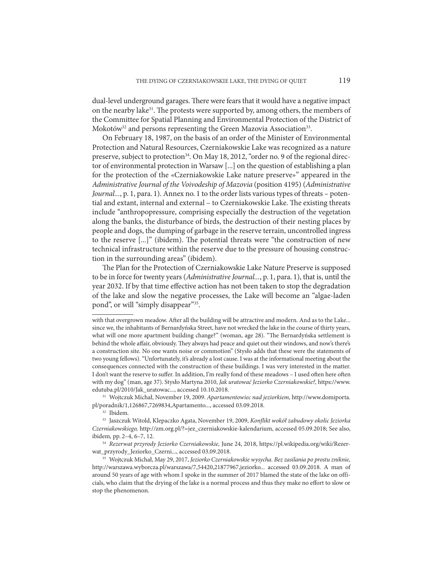dual-level underground garages. There were fears that it would have a negative impact on the nearby lake $31$ . The protests were supported by, among others, the members of the Committee for Spatial Planning and Environmental Protection of the District of Mokotów<sup>32</sup> and persons representing the Green Mazovia Association<sup>33</sup>.

On February 18, 1987, on the basis of an order of the Minister of Environmental Protection and Natural Resources, Czerniakowskie Lake was recognized as a nature preserve, subject to protection<sup>34</sup>. On May 18, 2012, "order no. 9 of the regional director of environmental protection in Warsaw [...] on the question of establishing a plan for the protection of the «Czerniakowskie Lake nature preserve»" appeared in the Administrative Journal of the Voivodeship of Mazovia (position 4195) (Administrative Journal..., p. 1, para. 1). Annex no. 1 to the order lists various types of threats – potential and extant, internal and external – to Czerniakowskie Lake. The existing threats include "anthropopressure, comprising especially the destruction of the vegetation along the banks, the disturbance of birds, the destruction of their nesting places by people and dogs, the dumping of garbage in the reserve terrain, uncontrolled ingress to the reserve [...]" (ibidem). The potential threats were "the construction of new technical infrastructure within the reserve due to the pressure of housing construction in the surrounding areas" (ibidem).

The Plan for the Protection of Czerniakowskie Lake Nature Preserve is supposed to be in force for twenty years (Administrative Journal..., p. 1, para. 1), that is, until the year 2032. If by that time effective action has not been taken to stop the degradation of the lake and slow the negative processes, the Lake will become an "algae-laden pond", or will "simply disappear"35.

with that overgrown meadow. After all the building will be attractive and modern. And as to the Lake... since we, the inhabitants of Bernardyńska Street, have not wrecked the lake in the course of thirty years, what will one more apartment building change?" (woman, age 28). "The Bernardyńska settlement is behind the whole affair, obviously. They always had peace and quiet out their windows, and now's there's a construction site. No one wants noise or commotion" (Stysło adds that these were the statements of two young fellows). "Unfortunately, it's already a lost cause. I was at the informational meeting about the consequences connected with the construction of these buildings. I was very interested in the matter. I don't want the reserve to suffer. In addition, I'm really fond of these meadows – I used often here often with my dog" (man, age 37). Stysło Martyna 2010, Jak uratować Jeziorko Czerniakowskie?, https://www. edutuba.pl/2010/Jak\_uratowac..., accessed 10.10.2018. 31 Wojtczuk Michał, November 19, 2009. Apartamentowiec nad jeziorkiem, http://www.domiporta.

pl/poradnik/1,126867,7269834,Apartamento..., accessed 03.09.2018.

<sup>32</sup> Ibidem.

<sup>&</sup>lt;sup>33</sup> Jaszczuk Witold, Klepaczko Agata, November 19, 2009, Konflikt wokół zabudowy okolic Jeziorka Czerniakowskiego, http://zm.org.pl/?=jez\_czerniakowskie-kalendarium, accessed 05.09.2018; See also, ibidem, pp. 2–4, 6–7, 12.

<sup>34</sup> Rezerwat przyrody Jeziorko Czerniakowskie, June 24, 2018, https://pl.wikipedia.org/wiki/Rezer-

wat\_przyrody\_Jeziorko\_Czerni..., accessed 03.09.2018. 35 Wojtczuk Michał, May 29, 2017, Jeziorko Czerniakowskie wysycha. Bez zasilania po prostu zniknie, http://warszawa.wyborcza.pl/warszawa/7,54420,21877967,jeziorko... accessed 03.09.2018. A man of around 50 years of age with whom I spoke in the summer of 2017 blamed the state of the lake on officials, who claim that the drying of the lake is a normal process and thus they make no effort to slow or stop the phenomenon.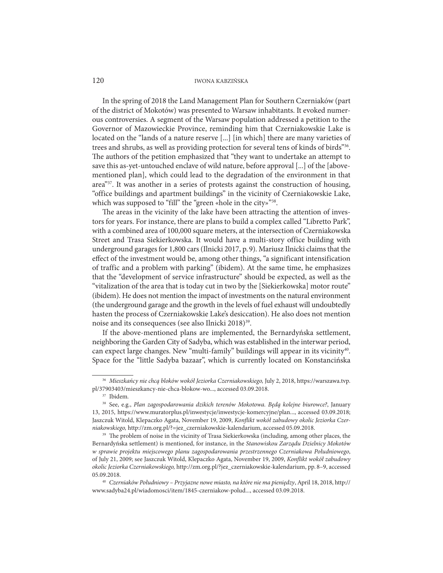In the spring of 2018 the Land Management Plan for Southern Czerniaków (part of the district of Mokotów) was presented to Warsaw inhabitants. It evoked numerous controversies. A segment of the Warsaw population addressed a petition to the Governor of Mazowieckie Province, reminding him that Czerniakowskie Lake is located on the "lands of a nature reserve [...] [in which] there are many varieties of trees and shrubs, as well as providing protection for several tens of kinds of birds"36. The authors of the petition emphasized that "they want to undertake an attempt to save this as-yet-untouched enclave of wild nature, before approval [...] of the [abovementioned plan], which could lead to the degradation of the environment in that area"37. It was another in a series of protests against the construction of housing, "office buildings and apartment buildings" in the vicinity of Czerniakowskie Lake, which was supposed to "fill" the "green «hole in the city»"<sup>38</sup>.

The areas in the vicinity of the lake have been attracting the attention of investors for years. For instance, there are plans to build a complex called "Libretto Park", with a combined area of 100,000 square meters, at the intersection of Czerniakowska Street and Trasa Siekierkowska. It would have a multi-story office building with underground garages for 1,800 cars (Ilnicki 2017, p. 9). Mariusz Ilnicki claims that the effect of the investment would be, among other things, "a significant intensification of traffic and a problem with parking" (ibidem). At the same time, he emphasizes that the "development of service infrastructure" should be expected, as well as the "vitalization of the area that is today cut in two by the [Siekierkowska] motor route" (ibidem). He does not mention the impact of investments on the natural environment (the underground garage and the growth in the levels of fuel exhaust will undoubtedly hasten the process of Czerniakowskie Lake's desiccation). He also does not mention noise and its consequences (see also Ilnicki 2018)<sup>39</sup>.

If the above-mentioned plans are implemented, the Bernardyńska settlement, neighboring the Garden City of Sadyba, which was established in the interwar period, can expect large changes. New "multi-family" buildings will appear in its vicinity<sup>40</sup>. Space for the "little Sadyba bazaar", which is currently located on Konstancińska

<sup>36</sup> Mieszkańcy nie chcą bloków wokół Jeziorka Czerniakowskiego, July 2, 2018, https://warszawa.tvp. pl/37903403/mieszkancy-nie-chca-blokow-wo..., accessed 03.09.2018. 37 Ibidem.

<sup>&</sup>lt;sup>38</sup> See, e.g., Plan zagospodarowania dzikich terenów Mokotowa. Będą kolejne biurowce?, January 13, 2015, https://www.muratorplus.pl/inwestycje/inwestycje-komercyjne/plan..., accessed 03.09.2018; Jaszczuk Witold, Klepaczko Agata, November 19, 2009, Konflikt wokół zabudowy okolic Jeziorka Czerniakowskiego, http://zm.org.pl/?=jez\_czerniakowskie-kalendarium, accessed 05.09.2018.

<sup>&</sup>lt;sup>39</sup> The problem of noise in the vicinity of Trasa Siekierkowska (including, among other places, the Bernardyńska settlement) is mentioned, for instance, in the Stanowiskou Zarządu Dzielnicy Mokotów w sprawie projektu miejscowego planu zagospodarowania przestrzennego Czerniakowa Południowego, of July 21, 2009; see Jaszczuk Witold, Klepaczko Agata, November 19, 2009, Konflikt wokół zabudowy okolic Jeziorka Czerniakowskiego, http://zm.org.pl/?jez\_czerniakowskie-kalendarium, pp. 8–9, accessed 05.09.2018. 40 Czerniaków Południowy – Przyjazne nowe miasto, na które nie ma pieniędzy, April 18, 2018, http://

www.sadyba24.pl/wiadomosci/item/1845-czerniakow-polud..., accessed 03.09.2018.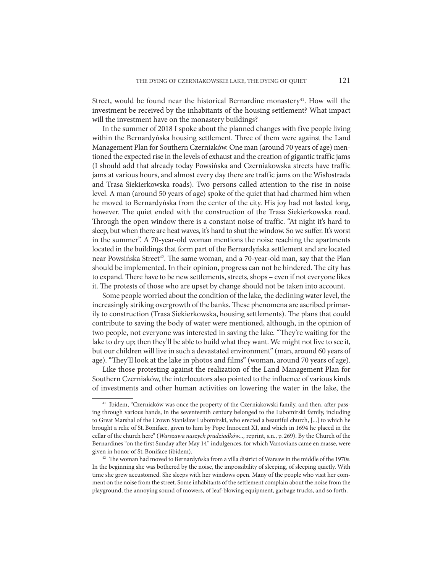Street, would be found near the historical Bernardine monastery<sup>41</sup>. How will the investment be received by the inhabitants of the housing settlement? What impact will the investment have on the monastery buildings?

In the summer of 2018 I spoke about the planned changes with five people living within the Bernardyńska housing settlement. Three of them were against the Land Management Plan for Southern Czerniaków. One man (around 70 years of age) mentioned the expected rise in the levels of exhaust and the creation of gigantic traffic jams (I should add that already today Powsińska and Czerniakowska streets have traffic jams at various hours, and almost every day there are traffic jams on the Wisłostrada and Trasa Siekierkowska roads). Two persons called attention to the rise in noise level. A man (around 50 years of age) spoke of the quiet that had charmed him when he moved to Bernardyńska from the center of the city. His joy had not lasted long, however. The quiet ended with the construction of the Trasa Siekierkowska road. Through the open window there is a constant noise of traffic. "At night it's hard to sleep, but when there are heat waves, it's hard to shut the window. So we suffer. It's worst in the summer". A 70-year-old woman mentions the noise reaching the apartments located in the buildings that form part of the Bernardyńska settlement and are located near Powsińska Street<sup>42</sup>. The same woman, and a 70-year-old man, say that the Plan should be implemented. In their opinion, progress can not be hindered. The city has to expand. There have to be new settlements, streets, shops – even if not everyone likes it. The protests of those who are upset by change should not be taken into account.

Some people worried about the condition of the lake, the declining water level, the increasingly striking overgrowth of the banks. These phenomena are ascribed primarily to construction (Trasa Siekierkowska, housing settlements). The plans that could contribute to saving the body of water were mentioned, although, in the opinion of two people, not everyone was interested in saving the lake. "They're waiting for the lake to dry up; then they'll be able to build what they want. We might not live to see it, but our children will live in such a devastated environment" (man, around 60 years of age). "They'll look at the lake in photos and films" (woman, around 70 years of age).

Like those protesting against the realization of the Land Management Plan for Southern Czerniaków, the interlocutors also pointed to the influence of various kinds of investments and other human activities on lowering the water in the lake, the

<sup>&</sup>lt;sup>41</sup> Ibidem, "Czerniaków was once the property of the Czerniakowski family, and then, after passing through various hands, in the seventeenth century belonged to the Lubomirski family, including to Great Marshal of the Crown Stanisław Lubomirski, who erected a beautiful church, [...] to which he brought a relic of St. Boniface, given to him by Pope Innocent XI, and which in 1694 he placed in the cellar of the church here" (Warszawa naszych pradziadków..., reprint, s.n., p. 269). By the Church of the Bernardines "on the first Sunday after May 14" indulgences, for which Varsovians came en masse, were given in honor of St. Boniface (ibidem).

<sup>&</sup>lt;sup>42</sup> The woman had moved to Bernardyńska from a villa district of Warsaw in the middle of the 1970s. In the beginning she was bothered by the noise, the impossibility of sleeping, of sleeping quietly. With time she grew accustomed. She sleeps with her windows open. Many of the people who visit her comment on the noise from the street. Some inhabitants of the settlement complain about the noise from the playground, the annoying sound of mowers, of leaf-blowing equipment, garbage trucks, and so forth.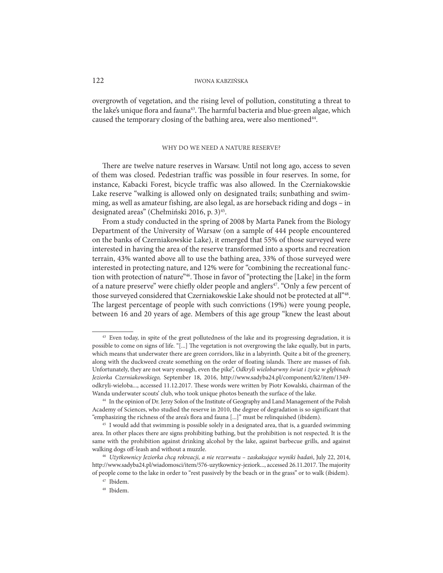overgrowth of vegetation, and the rising level of pollution, constituting a threat to the lake's unique flora and fauna<sup>43</sup>. The harmful bacteria and blue-green algae, which caused the temporary closing of the bathing area, were also mentioned<sup>44</sup>.

# WHY DO WE NEED A NATURE RESERVE?

There are twelve nature reserves in Warsaw. Until not long ago, access to seven of them was closed. Pedestrian traffic was possible in four reserves. In some, for instance, Kabacki Forest, bicycle traffic was also allowed. In the Czerniakowskie Lake reserve "walking is allowed only on designated trails; sunbathing and swimming, as well as amateur fishing, are also legal, as are horseback riding and dogs – in designated areas" (Chełmiński 2016, p. 3)<sup>45</sup>.

From a study conducted in the spring of 2008 by Marta Panek from the Biology Department of the University of Warsaw (on a sample of 444 people encountered on the banks of Czerniakowskie Lake), it emerged that 55% of those surveyed were interested in having the area of the reserve transformed into a sports and recreation terrain, 43% wanted above all to use the bathing area, 33% of those surveyed were interested in protecting nature, and 12% were for "combining the recreational function with protection of nature"46. Those in favor of "protecting the [Lake] in the form of a nature preserve" were chiefly older people and anglers<sup>47</sup>. "Only a few percent of those surveyed considered that Czerniakowskie Lake should not be protected at all"48. The largest percentage of people with such convictions (19%) were young people, between 16 and 20 years of age. Members of this age group "knew the least about

<sup>&</sup>lt;sup>43</sup> Even today, in spite of the great pollutedness of the lake and its progressing degradation, it is possible to come on signs of life. "[...] The vegetation is not overgrowing the lake equally, but in parts, which means that underwater there are green corridors, like in a labyrinth. Quite a bit of the greenery, along with the duckweed create something on the order of floating islands. There are masses of fish. Unfortunately, they are not wary enough, even the pike", Odkryli wielobarwny świat i życie w głębinach Jeziorka Czerniakowskiego, September 18, 2016, http://www.sadyba24.pl/component/k2/item/1349 odkryli-wieloba..., accessed 11.12.2017. These words were written by Piotr Kowalski, chairman of the Wanda underwater scouts' club, who took unique photos beneath the surface of the lake.

<sup>&</sup>lt;sup>44</sup> In the opinion of Dr. Jerzy Solon of the Institute of Geography and Land Management of the Polish Academy of Sciences, who studied the reserve in 2010, the degree of degradation is so significant that "emphasizing the richness of the area's flora and fauna [...]" must be relinquished (ibidem). 45 I would add that swimming is possible solely in a designated area, that is, a guarded swimming

area. In other places there are signs prohibiting bathing, but the prohibition is not respected. It is the same with the prohibition against drinking alcohol by the lake, against barbecue grills, and against walking dogs off-leash and without a muzzle.

<sup>46</sup> Użytkownicy Jeziorka chcą rekreacji, a nie rezerwatu – zaskakujące wyniki badań, July 22, 2014, http://www.sadyba24.pl/wiadomosci/item/576-uzytkownicy-jeziork..., accessed 26.11.2017. The majority of people come to the lake in order to "rest passively by the beach or in the grass" or to walk (ibidem).

<sup>47</sup> Ibidem.

<sup>48</sup> Ibidem.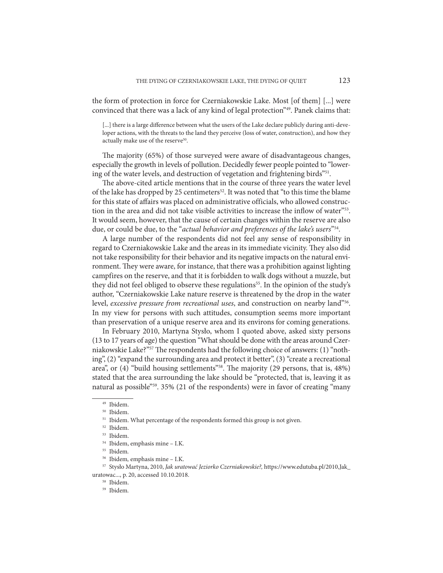the form of protection in force for Czerniakowskie Lake. Most [of them] [...] were convinced that there was a lack of any kind of legal protection"49. Panek claims that:

[...] there is a large difference between what the users of the Lake declare publicly during anti-developer actions, with the threats to the land they perceive (loss of water, construction), and how they actually make use of the reserve<sup>50</sup>.

The majority (65%) of those surveyed were aware of disadvantageous changes, especially the growth in levels of pollution. Decidedly fewer people pointed to "lowering of the water levels, and destruction of vegetation and frightening birds"51.

The above-cited article mentions that in the course of three years the water level of the lake has dropped by 25 centimeters<sup>52</sup>. It was noted that "to this time the blame for this state of affairs was placed on administrative officials, who allowed construction in the area and did not take visible activities to increase the inflow of water"53. It would seem, however, that the cause of certain changes within the reserve are also due, or could be due, to the "actual behavior and preferences of the lake's users"<sup>54</sup>.

A large number of the respondents did not feel any sense of responsibility in regard to Czerniakowskie Lake and the areas in its immediate vicinity. They also did not take responsibility for their behavior and its negative impacts on the natural environment. They were aware, for instance, that there was a prohibition against lighting campfires on the reserve, and that it is forbidden to walk dogs without a muzzle, but they did not feel obliged to observe these regulations<sup>55</sup>. In the opinion of the study's author, "Czerniakowskie Lake nature reserve is threatened by the drop in the water level, excessive pressure from recreational uses, and construction on nearby land"56. In my view for persons with such attitudes, consumption seems more important than preservation of a unique reserve area and its environs for coming generations.

In February 2010, Martyna Stysło, whom I quoted above, asked sixty persons (13 to 17 years of age) the question "What should be done with the areas around Czerniakowskie Lake?"57 The respondents had the following choice of answers: (1) "nothing", (2) "expand the surrounding area and protect it better", (3) "create a recreational area", or (4) "build housing settlements"58. The majority (29 persons, that is, 48%) stated that the area surrounding the lake should be "protected, that is, leaving it as natural as possible"59. 35% (21 of the respondents) were in favor of creating "many

<sup>49</sup> Ibidem.

<sup>50</sup> Ibidem.

<sup>&</sup>lt;sup>51</sup> Ibidem. What percentage of the respondents formed this group is not given.

<sup>52</sup> Ibidem.

<sup>53</sup> Ibidem.

<sup>54</sup> Ibidem, emphasis mine – I.K.

<sup>55</sup> Ibidem.

<sup>56</sup> Ibidem, emphasis mine – I.K.

<sup>57</sup> Stysło Martyna, 2010, Jak uratować Jeziorko Czerniakowskie?, https://www.edutuba.pl/2010,Jak\_ uratowac..., p. 20, accessed 10.10.2018.

<sup>58</sup> Ibidem.

<sup>59</sup> Ibidem.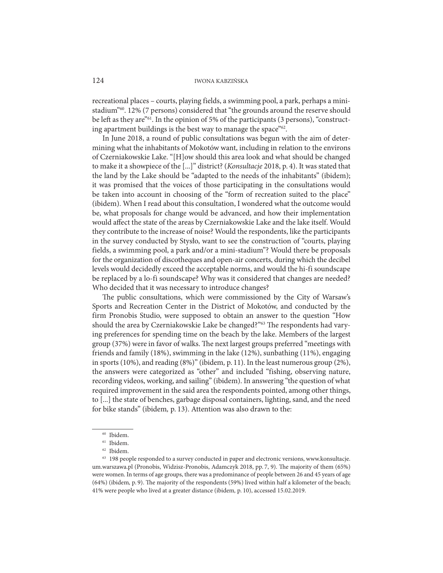recreational places – courts, playing fields, a swimming pool, a park, perhaps a ministadium"<sup>60</sup>. 12% (7 persons) considered that "the grounds around the reserve should be left as they are"61. In the opinion of 5% of the participants (3 persons), "constructing apartment buildings is the best way to manage the space"<sup>62</sup>.

In June 2018, a round of public consultations was begun with the aim of determining what the inhabitants of Mokotów want, including in relation to the environs of Czerniakowskie Lake. "[H]ow should this area look and what should be changed to make it a showpiece of the [...]" district? (Konsultacje 2018, p. 4). It was stated that the land by the Lake should be "adapted to the needs of the inhabitants" (ibidem); it was promised that the voices of those participating in the consultations would be taken into account in choosing of the "form of recreation suited to the place" (ibidem). When I read about this consultation, I wondered what the outcome would be, what proposals for change would be advanced, and how their implementation would affect the state of the areas by Czerniakowskie Lake and the lake itself. Would they contribute to the increase of noise? Would the respondents, like the participants in the survey conducted by Stysło, want to see the construction of "courts, playing fields, a swimming pool, a park and/or a mini-stadium"? Would there be proposals for the organization of discotheques and open-air concerts, during which the decibel levels would decidedly exceed the acceptable norms, and would the hi-fi soundscape be replaced by a lo-fi soundscape? Why was it considered that changes are needed? Who decided that it was necessary to introduce changes?

The public consultations, which were commissioned by the City of Warsaw's Sports and Recreation Center in the District of Mokotów, and conducted by the firm Pronobis Studio, were supposed to obtain an answer to the question "How should the area by Czerniakowskie Lake be changed?"63 The respondents had varying preferences for spending time on the beach by the lake. Members of the largest group (37%) were in favor of walks. The next largest groups preferred "meetings with friends and family (18%), swimming in the lake (12%), sunbathing (11%), engaging in sports (10%), and reading (8%)" (ibidem, p. 11). In the least numerous group (2%), the answers were categorized as "other" and included "fishing, observing nature, recording videos, working, and sailing" (ibidem). In answering "the question of what required improvement in the said area the respondents pointed, among other things, to [...] the state of benches, garbage disposal containers, lighting, sand, and the need for bike stands" (ibidem, p. 13). Attention was also drawn to the:

<sup>60</sup> Ibidem.

<sup>61</sup> Ibidem.

<sup>62</sup> Ibidem.

<sup>63 198</sup> people responded to a survey conducted in paper and electronic versions, www.konsultacje. um.warszawa.pl (Pronobis, Widzisz-Pronobis, Adamczyk 2018, pp. 7, 9). The majority of them (65%) were women. In terms of age groups, there was a predominance of people between 26 and 45 years of age (64%) (ibidem, p. 9). The majority of the respondents (59%) lived within half a kilometer of the beach; 41% were people who lived at a greater distance (ibidem, p. 10), accessed 15.02.2019.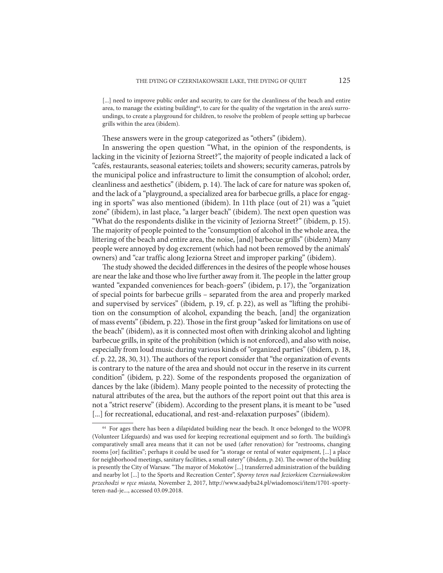[...] need to improve public order and security, to care for the cleanliness of the beach and entire area, to manage the existing building<sup>64</sup>, to care for the quality of the vegetation in the area's surroundings, to create a playground for children, to resolve the problem of people setting up barbecue grills within the area (ibidem).

These answers were in the group categorized as "others" (ibidem).

In answering the open question "What, in the opinion of the respondents, is lacking in the vicinity of Jeziorna Street?", the majority of people indicated a lack of "cafés, restaurants, seasonal eateries; toilets and showers; security cameras, patrols by the municipal police and infrastructure to limit the consumption of alcohol; order, cleanliness and aesthetics" (ibidem, p. 14). The lack of care for nature was spoken of, and the lack of a "playground, a specialized area for barbecue grills, a place for engaging in sports" was also mentioned (ibidem). In 11th place (out of 21) was a "quiet zone" (ibidem), in last place, "a larger beach" (ibidem). The next open question was "What do the respondents dislike in the vicinity of Jeziorna Street?" (ibidem, p. 15). The majority of people pointed to the "consumption of alcohol in the whole area, the littering of the beach and entire area, the noise, [and] barbecue grills" (ibidem) Many people were annoyed by dog excrement (which had not been removed by the animals' owners) and "car traffic along Jeziorna Street and improper parking" (ibidem).

The study showed the decided differences in the desires of the people whose houses are near the lake and those who live further away from it. The people in the latter group wanted "expanded conveniences for beach-goers" (ibidem, p. 17), the "organization of special points for barbecue grills – separated from the area and properly marked and supervised by services" (ibidem, p. 19, cf. p. 22), as well as "lifting the prohibition on the consumption of alcohol, expanding the beach, [and] the organization of mass events" (ibidem, p. 22). Those in the first group "asked for limitations on use of the beach" (ibidem), as it is connected most often with drinking alcohol and lighting barbecue grills, in spite of the prohibition (which is not enforced), and also with noise, especially from loud music during various kinds of "organized parties" (ibidem, p. 18, cf. p. 22, 28, 30, 31). The authors of the report consider that "the organization of events is contrary to the nature of the area and should not occur in the reserve in its current condition" (ibidem, p. 22). Some of the respondents proposed the organization of dances by the lake (ibidem). Many people pointed to the necessity of protecting the natural attributes of the area, but the authors of the report point out that this area is not a "strict reserve" (ibidem). According to the present plans, it is meant to be "used [...] for recreational, educational, and rest-and-relaxation purposes" (ibidem).

<sup>&</sup>lt;sup>64</sup> For ages there has been a dilapidated building near the beach. It once belonged to the WOPR (Volunteer Lifeguards) and was used for keeping recreational equipment and so forth. The building's comparatively small area means that it can not be used (after renovation) for "restrooms, changing rooms [or] facilities"; perhaps it could be used for "a storage or rental of water equipment, [...] a place for neighborhood meetings, sanitary facilities, a small eatery" (ibidem, p. 24). The owner of the building is presently the City of Warsaw. "The mayor of Mokotów [...] transferred administration of the building and nearby lot [...] to the Sports and Recreation Center", Sporny teren nad Jeziorkiem Czerniakowskim przechodzi w ręce miasta, November 2, 2017, http://www.sadyba24.pl/wiadomosci/item/1701-sportyteren-nad-je..., accessed 03.09.2018.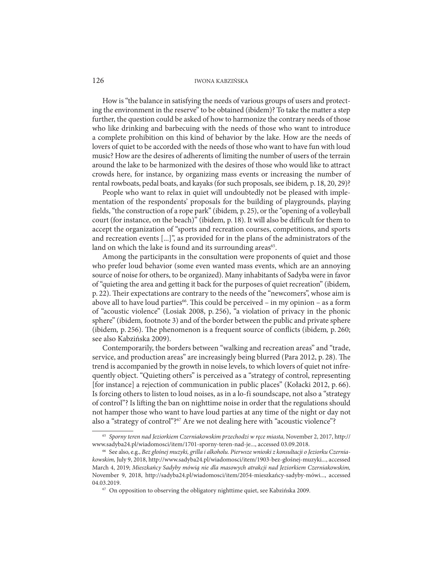How is "the balance in satisfying the needs of various groups of users and protecting the environment in the reserve" to be obtained (ibidem)? To take the matter a step further, the question could be asked of how to harmonize the contrary needs of those who like drinking and barbecuing with the needs of those who want to introduce a complete prohibition on this kind of behavior by the lake. How are the needs of lovers of quiet to be accorded with the needs of those who want to have fun with loud music? How are the desires of adherents of limiting the number of users of the terrain around the lake to be harmonized with the desires of those who would like to attract crowds here, for instance, by organizing mass events or increasing the number of rental rowboats, pedal boats, and kayaks (for such proposals, see ibidem, p. 18, 20, 29)?

People who want to relax in quiet will undoubtedly not be pleased with implementation of the respondents' proposals for the building of playgrounds, playing fields, "the construction of a rope park" (ibidem, p. 25), or the "opening of a volleyball court (for instance, on the beach)" (ibidem, p. 18). It will also be difficult for them to accept the organization of "sports and recreation courses, competitions, and sports and recreation events [...]", as provided for in the plans of the administrators of the land on which the lake is found and its surrounding areas<sup>65</sup>.

Among the participants in the consultation were proponents of quiet and those who prefer loud behavior (some even wanted mass events, which are an annoying source of noise for others, to be organized). Many inhabitants of Sadyba were in favor of "quieting the area and getting it back for the purposes of quiet recreation" (ibidem, p. 22). Their expectations are contrary to the needs of the "newcomers", whose aim is above all to have loud parties<sup>66</sup>. This could be perceived – in my opinion – as a form of "acoustic violence" (Losiak 2008, p. 256), "a violation of privacy in the phonic sphere" (ibidem, footnote 3) and of the border between the public and private sphere (ibidem, p. 256). The phenomenon is a frequent source of conflicts (ibidem, p. 260; see also Kabzińska 2009).

Contemporarily, the borders between "walking and recreation areas" and "trade, service, and production areas" are increasingly being blurred (Para 2012, p. 28). The trend is accompanied by the growth in noise levels, to which lovers of quiet not infrequently object. "Quieting others" is perceived as a "strategy of control, representing [for instance] a rejection of communication in public places" (Kołacki 2012, p. 66). Is forcing others to listen to loud noises, as in a lo-fi soundscape, not also a "strategy of control"? Is lifting the ban on nighttime noise in order that the regulations should not hamper those who want to have loud parties at any time of the night or day not also a "strategy of control"?<sup>67</sup> Are we not dealing here with "acoustic violence"?

<sup>65</sup> Sporny teren nad Jeziorkiem Czerniakowskim przechodzi w ręce miasta, November 2, 2017, http:// www.sadyba24.pl/wiadomosci/item/1701-sporny-teren-nad-je..., accessed 03.09.2018.<br><sup>66</sup> See also, e.g., Bez głośnej muzyki, grilla i alkoholu. Pierwsze wnioski z konsultacji o Jeziorku Czernia-

kowskim, July 9, 2018, http://www.sadyba24.pl/wiadomosci/item/1903-bez-głośnej-muzyki..., accessed March 4, 2019; Mieszkańcy Sadyby mówią nie dla masowych atrakcji nad Jeziorkiem Czerniakowskim, November 9, 2018, http://sadyba24.pl/wiadomosci/item/2054-mieszkańcy-sadyby-mówi..., accessed 04.03.2019.<br><sup>67</sup> On opposition to observing the obligatory nighttime quiet, see Kabzińska 2009.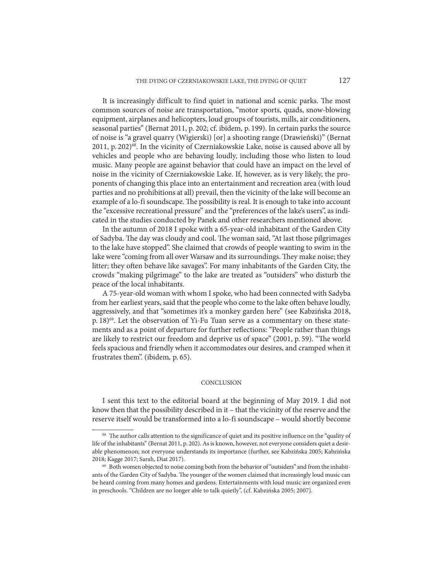It is increasingly difficult to find quiet in national and scenic parks. The most common sources of noise are transportation, "motor sports, quads, snow-blowing equipment, airplanes and helicopters, loud groups of tourists, mills, air conditioners, seasonal parties" (Bernat 2011, p. 202; cf. ibidem, p. 199). In certain parks the source of noise is "a gravel quarry (Wigierski) [or] a shooting range (Drawieński)" (Bernat 2011, p. 202)<sup>68</sup>. In the vicinity of Czerniakowskie Lake, noise is caused above all by vehicles and people who are behaving loudly, including those who listen to loud music. Many people are against behavior that could have an impact on the level of noise in the vicinity of Czerniakowskie Lake. If, however, as is very likely, the proponents of changing this place into an entertainment and recreation area (with loud parties and no prohibitions at all) prevail, then the vicinity of the lake will become an example of a lo-fi soundscape. The possibility is real. It is enough to take into account the "excessive recreational pressure" and the "preferences of the lake's users", as indicated in the studies conducted by Panek and other researchers mentioned above.

In the autumn of 2018 I spoke with a 65-year-old inhabitant of the Garden City of Sadyba. The day was cloudy and cool. The woman said, "At last those pilgrimages to the lake have stopped". She claimed that crowds of people wanting to swim in the lake were "coming from all over Warsaw and its surroundings. They make noise; they litter; they often behave like savages". For many inhabitants of the Garden City, the crowds "making pilgrimage" to the lake are treated as "outsiders" who disturb the peace of the local inhabitants.

A 75-year-old woman with whom I spoke, who had been connected with Sadyba from her earliest years, said that the people who come to the lake often behave loudly, aggressively, and that "sometimes it's a monkey garden here" (see Kabzińska 2018, p.  $18)^{69}$ . Let the observation of Yi-Fu Tuan serve as a commentary on these statements and as a point of departure for further reflections: "People rather than things are likely to restrict our freedom and deprive us of space" (2001, p. 59). "The world feels spacious and friendly when it accommodates our desires, and cramped when it frustrates them". (ibidem, p. 65).

## **CONCLUSION**

I sent this text to the editorial board at the beginning of May 2019. I did not know then that the possibility described in it – that the vicinity of the reserve and the reserve itself would be transformed into a lo-fi soundscape – would shortly become

<sup>&</sup>lt;sup>68</sup> The author calls attention to the significance of quiet and its positive influence on the "quality of life of the inhabitants" (Bernat 2011, p. 202). As is known, however, not everyone considers quiet a desirable phenomenon; not everyone understands its importance (further, see Kabzińska 2005; Kabzińska 2018; Kagge 2017; Sarah, Diat 2017).<br><sup>69</sup> Both women objected to noise coming both from the behavior of "outsiders" and from the inhabit-

ants of the Garden City of Sadyba. The younger of the women claimed that increasingly loud music can be heard coming from many homes and gardens. Entertainments with loud music are organized even in preschools. "Children are no longer able to talk quietly", (cf. Kabzińska 2005; 2007).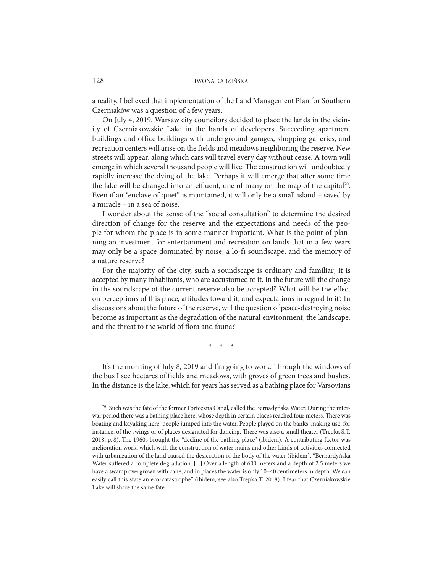a reality. I believed that implementation of the Land Management Plan for Southern Czerniaków was a question of a few years.

On July 4, 2019, Warsaw city councilors decided to place the lands in the vicinity of Czerniakowskie Lake in the hands of developers. Succeeding apartment buildings and office buildings with underground garages, shopping galleries, and recreation centers will arise on the fields and meadows neighboring the reserve. New streets will appear, along which cars will travel every day without cease. A town will emerge in which several thousand people will live. The construction will undoubtedly rapidly increase the dying of the lake. Perhaps it will emerge that after some time the lake will be changed into an effluent, one of many on the map of the capital<sup>70</sup>. Even if an "enclave of quiet" is maintained, it will only be a small island – saved by a miracle – in a sea of noise.

I wonder about the sense of the "social consultation" to determine the desired direction of change for the reserve and the expectations and needs of the people for whom the place is in some manner important. What is the point of planning an investment for entertainment and recreation on lands that in a few years may only be a space dominated by noise, a lo-fi soundscape, and the memory of a nature reserve?

For the majority of the city, such a soundscape is ordinary and familiar; it is accepted by many inhabitants, who are accustomed to it. In the future will the change in the soundscape of the current reserve also be accepted? What will be the effect on perceptions of this place, attitudes toward it, and expectations in regard to it? In discussions about the future of the reserve, will the question of peace-destroying noise become as important as the degradation of the natural environment, the landscape, and the threat to the world of flora and fauna?

\* \* \*

It's the morning of July 8, 2019 and I'm going to work. Through the windows of the bus I see hectares of fields and meadows, with groves of green trees and bushes. In the distance is the lake, which for years has served as a bathing place for Varsovians

<sup>70</sup> Such was the fate of the former Forteczna Canal, called the Bernadyńska Water. During the interwar period there was a bathing place here, whose depth in certain places reached four meters. There was boating and kayaking here; people jumped into the water. People played on the banks, making use, for instance, of the swings or of places designated for dancing. There was also a small theater (Trepka S.T. 2018, p. 8). The 1960s brought the "decline of the bathing place" (ibidem). A contributing factor was melioration work, which with the construction of water mains and other kinds of activities connected with urbanization of the land caused the desiccation of the body of the water (ibidem), "Bernardyńska Water suffered a complete degradation. [...] Over a length of 600 meters and a depth of 2.5 meters we have a swamp overgrown with cane, and in places the water is only  $10-40$  centimeters in depth. We can easily call this state an eco-catastrophe" (ibidem, see also Trepka T. 2018). I fear that Czerniakowskie Lake will share the same fate.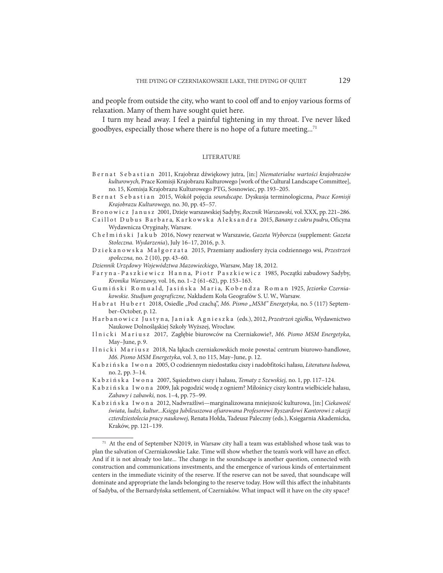and people from outside the city, who want to cool off and to enjoy various forms of relaxation. Many of them have sought quiet here.

I turn my head away. I feel a painful tightening in my throat. I've never liked goodbyes, especially those where there is no hope of a future meeting...71

#### LITERATURE

- B e r n a t S e b a s t i a n 2011, Krajobraz dźwiękowy jutra, [in:] Niematerialne wartości krajobrazów kulturowych, Prace Komisji Krajobrazu Kulturowego [work of the Cultural Landscape Committee], no. 15, Komisja Krajobrazu Kulturowego PTG, Sosnowiec, pp. 193–205.
- B e r n a t S e b a s t i a n 2015, Wokół pojęcia soundscape. Dyskusja terminologiczna, Prace Komisji Krajobrazu Kulturowego, no. 30, pp. 45–57.
- B r o n o w i c z J a n u s z 2001, Dzieje warszawskiej Sadyby, Rocznik Warszawski, vol. XXX, pp. 221–286.
- Caillot Dubus Barbara, Karkowska Aleksandra 2015, Banany z cukru pudru, Oficyna Wydawnicza Oryginały, Warsaw.

Chełmiński Jakub 2016, Nowy rezerwat w Warszawie, Gazeta Wyborcza (supplement: Gazeta Stołeczna. Wydarzenia), July 16–17, 2016, p. 3.

D z i e k a n o w s k a M a ł g o r z a t a 2015, Przemiany audiosfery życia codziennego wsi, Przestrzeń społeczna, no. 2 (10), pp. 43–60.

Dziennik Urzędowy Województwa Mazowieckiego, Warsaw, May 18, 2012.

- F a r y n a P a s z k i e w i c z H a n n a, P i o t r P a s z k i e w i c z 1985, Początki zabudowy Sadyby, Kronika Warszawy, vol. 16, no. 1–2 (61–62), pp. 153–163.
- Gumiński Romuald, Jasińska Maria, Kobendza Roman 1925, Jeziorko Czerniakowskie. Studjum geograficzne, Nakładem Koła Geografów S. U. W., Warsaw.
- Habrat Hubert 2018, Osiedle "Pod czachą", M6. Pismo "MSM" Energetyka, no. 5 (117) September–October, p. 12.
- H a r b a n o w i c z J u s t y n a, J a n i a k A g n i e s z k a (eds.), 2012, Przestrzeń zgiełku, Wydawnictwo Naukowe Dolnośląskiej Szkoły Wyższej, Wrocław.
- Ilnicki Mariusz 2017, Zagłębie biurowców na Czerniakowie?, M6. Pismo MSM Energetyka, May–June, p. 9.
- Ilnicki Mariusz 2018, Na łąkach czerniakowskich może powstać centrum biurowo-handlowe, M6. Pismo MSM Energetyka, vol. 3, no 115, May–June, p. 12.
- K a b z i ń s k a I w o n a 2005, O codziennym niedostatku ciszy i nadobfitości hałasu, Literatura ludowa, no. 2, pp. 3–14.
- K a b z i ń s k a I w o n a 2007, Sasiedztwo ciszy i hałasu, Tematy z Szewskiej, no. 1, pp. 117–124.
- K a b z i ń s k a I w o n a 2009, Jak pogodzić wodę z ogniem? Miłośnicy ciszy kontra wielbiciele hałasu, Zabawy i zabawki, nos. 1–4, pp. 75–99.

K a b z i ń s k a I w o n a 2012, Nadwrażliwi—marginalizowana mniejszość kulturowa, [in:] Ciekawość świata, ludzi, kultur...Księga Jubileuszowa ofiarowana Profesorowi Ryszardowi Kantorowi z okazji czterdziestolecia pracy naukowej, Renata Hołda, Tadeusz Paleczny (eds.), Księgarnia Akademicka, Kraków, pp. 121–139.

 $71$  At the end of September N2019, in Warsaw city hall a team was established whose task was to plan the salvation of Czerniakowskie Lake. Time will show whether the team's work will have an effect. And if it is not already too late... The change in the soundscape is another question, connected with construction and communications investments, and the emergence of various kinds of entertainment centers in the immediate vicinity of the reserve. If the reserve can not be saved, that soundscape will dominate and appropriate the lands belonging to the reserve today. How will this affect the inhabitants of Sadyba, of the Bernardyńska settlement, of Czerniaków. What impact will it have on the city space?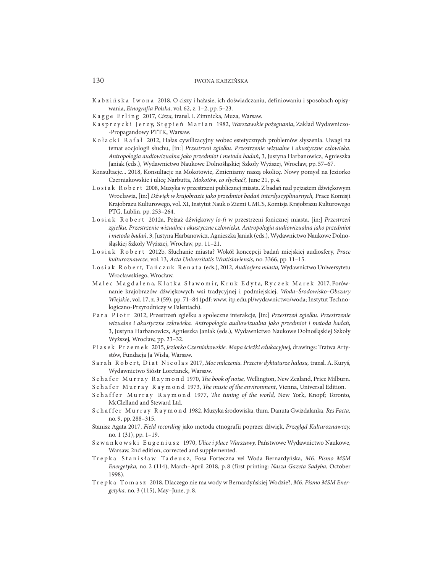- K a b z i ń s k a I w o n a 2018, O ciszy i hałasie, ich doświadczaniu, definiowaniu i sposobach opisywania, Etnografia Polska, vol. 62, z. 1–2, pp. 5–23.
- Kagge Erling 2017, Cisza, transl. I. Zimnicka, Muza, Warsaw.
- K a s p r z y c k i Je r z y, S t ę p i e ń M a r i a n 1982, Warszawskie pożegnania, Zakład Wydawniczo--Propagandowy PTTK, Warsaw.
- Kołacki Rafał 2012, Hałas cywilizacyjny wobec estetycznych problemów słyszenia. Uwagi na temat socjologii słuchu, [in:] Przestrzeń zgiełku. Przestrzenie wizualne i akustyczne człowieka. Antropologia audiowizualna jako przedmiot i metoda badań, 3, Justyna Harbanowicz, Agnieszka Janiak (eds.), Wydawnictwo Naukowe Dolnośląskiej Szkoły Wyższej, Wrocław, pp. 57–67.
- Konsultacje... 2018, Konsultacje na Mokotowie, Zmieniamy naszą okolicę. Nowy pomysł na Jeziorko Czerniakowskie i ulicę Narbutta, Mokotów, co słychać?, June 21, p. 4.
- L o s i a k R o b e r t 2008, Muzyka w przestrzeni publicznej miasta. Z badań nad pejzażem dźwiękowym Wrocławia, [in:] Dźwięk w krajobrazie jako przedmiot badań interdyscyplinarnych, Prace Komisji Krajobrazu Kulturowego, vol. XI, Instytut Nauk o Ziemi UMCS, Komisja Krajobrazu Kulturowego PTG, Lublin, pp. 253–264.
- Losiak Robert 2012a, Pejzaż dźwiękowy lo-fi w przestrzeni fonicznej miasta, [in:] Przestrzeń zgiełku. Przestrzenie wizualne i akustyczne człowieka. Antropologia audiowizualna jako przedmiot i metoda badań, 3, Justyna Harbanowicz, Agnieszka Janiak (eds.), Wydawnictwo Naukowe Dolnośląskiej Szkoły Wyższej, Wrocław, pp. 11–21.
- Losiak Robert 2012b, Słuchanie miasta? Wokół koncepcji badań miejskiej audiosfery, Prace kulturoznawcze, vol. 13, Acta Universitatis Wratislaviensis, no. 3366, pp. 11–15.
- Losiak Robert, Tańczuk Renata (eds.), 2012, Audiosfera miasta, Wydawnictwo Uniwersytetu Wrocławskiego, Wrocław.
- Malec Magdalena, Klatka Sławomir, Kruk Edyta, Ryczek Marek 2017, Porównanie krajobrazów dźwiękowych wsi tradycyjnej i podmiejskiej, Woda–Środowisko–Obszary Wiejskie, vol. 17, z. 3 (59), pp. 71–84 (pdf: www. itp.edu.pl/wydawnictwo/woda; Instytut Technologiczno-Przyrodniczy w Falentach).
- P a r a Piotr 2012, Przestrzeń zgiełku a społeczne interakcje, [in:] Przestrzeń zgiełku. Przestrzenie wizualne i akustyczne człowieka. Antropologia audiowizualna jako przedmiot i metoda badań, 3, Justyna Harbanowicz, Agnieszka Janiak (eds.), Wydawnictwo Naukowe Dolnośląskiej Szkoły Wyższej, Wrocław, pp. 23–32.
- P i a s e k P r z e m e k 2015, Jeziorko Czerniakowskie. Mapa ścieżki edukacyjnej, drawings: Tratwa Artystów, Fundacja Ja Wisła, Warsaw.
- S a r a h R o b e r t, D i a t N i c o l a s 2017, Moc milczenia. Przeciw dyktaturze hałasu, transl. A. Kuryś, Wydawnictwo Sióstr Loretanek, Warsaw.
- S c h a f e r M u r r a y R a y m o n d 1970, The book of noise, Wellington, New Zealand, Price Milburn.
- Schafer Murray Raymond 1973, The music of the environment, Vienna, Universal Edition.
- Schaffer Murray Raymond 1977, The tuning of the world, New York, Knopf; Toronto, McClelland and Steward Ltd.
- S c h a f f e r M u r r a y R a y m o n d 1982, Muzyka środowiska, tłum. Danuta Gwizdalanka, Res Facta, no. 9, pp. 288–315.
- Stanisz Agata 2017, Field recording jako metoda etnografii poprzez dźwięk, Przegląd Kulturoznawczy, no. 1 (31), pp. 1–19.
- Szwankowski Eugeniusz 1970, Ulice i place Warszawy, Państwowe Wydawnictwo Naukowe, Warsaw, 2nd edition, corrected and supplemented.
- Trepka Stanisław Tadeusz, Fosa Forteczna vel Woda Bernardyńska, M6. Pismo MSM Energetyka, no. 2 (114), March–April 2018, p. 8 (first printing: Nasza Gazeta Sadyba, October 1998).
- T r e p k a To m a s z 2018, Dlaczego nie ma wody w Bernardyńskiej Wodzie?, M6. Pismo MSM Energetyka, no. 3 (115), May–June, p. 8.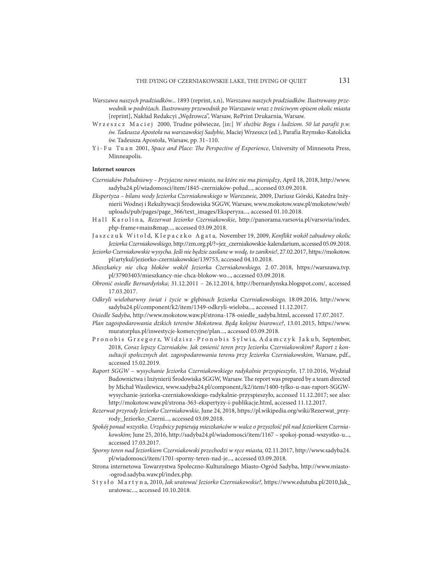- Warszawa naszych pradziadków... 1893 (reprint, s.n), Warszawa naszych pradziadków. Ilustrowany przewodnik w podróżach. Ilustrowany przewodnik po Warszawie wraz z treściwym opisem okolic miasta [reprint], Nakład Redakcyi "Wędrowca", Warsaw, RePrint Drukarnia, Warsaw.
- Wrzeszcz Maciej 2000, Trudne półwiecze, [in:] W służbie Bogu i ludziom. 50 lat parafii p.w. św.Tadeusza Apostoła na warszawskiej Sadybie, Maciej Wrzeszcz (ed.), Parafia Rzymsko-Katolicka św. Tadeusza Apostoła, Warsaw, pp. 31–110.
- Y i F u Tu a n 2001, Space and Place: The Perspective of Experience, University of Minnesota Press, Minneapolis.

#### **Internet sources**

- Czerniaków Południowy Przyjazne nowe miasto, na które nie ma pieniędzy, April 18, 2018, http://www. sadyba24.pl/wiadomosci/item/1845-czerniaków-połud..., accessed 03.09.2018.
- Ekspertyza bilans wody Jeziorka Czerniakowskiego w Warszawie, 2009, Dariusz Górski, Katedra Inżynierii Wodnej i Rekultywacji Środowiska SGGW, Warsaw, www.mokotow.waw.pl/mokotow/web/ uploads/pub/pages/page\_366/text\_images/Eksperyza..., accessed 01.10.2018.
- H a l l K a r o l i n a, Rezerwat Jeziorko Czerniakowskie, http://panorama.varsovia.pl/varsovia/index. php-frame+main&map..., accessed 03.09.2018.
- Jaszczuk Witold, Klepaczko Agata, November 19, 2009, Konflikt wokół zabudowy okolic Jeziorka Czerniakowskiego, http://zm.org.pl/?=jez\_czerniakowskie-kalendarium, accessed 05.09.2018.
- Jeziorko Czerniakowskie wysycha. Jeśli nie będzie zasilane w wodę, to zaniknie!, 27.02.2017, https://mokotow. pl/artykul/jeziorko-czerniakowskie/139753, accessed 04.10.2018.
- Mieszkańcy nie chcą bloków wokół Jeziorka Czerniakowskiego, 2. 07. 2018, https://warszawa.tvp. pl/37903403/mieszkancy-nie-chca-blokow-wo..., accessed 03.09.2018.
- Obronić osiedle Bernardyńska; 31.12.2011 26.12.2014, http://bernardynska.blogspot.com/, accessed 17.03.2017.
- Odkryli wielobarwny świat i życie w głębinach Jeziorka Czerniakowskiego, 18.09.2016, http://www. sadyba24.pl/component/k2/item/1349-odkryli-wieloba..., accessed 11.12.2017.
- Osiedle Sadyba, http://www.mokotow.waw.pl/strona-178-osiedle\_sadyba.html, accessed 17.07.2017.

Plan zagospodarowania dzikich terenów Mokotowa. Będą kolejne biurowce?, 13.01.2015, https://www. muratorplus.pl/inwestycje-komercyjne/plan..., accessed 03.09.2018.

- P r o n o b is G r z e g o r z, W i d z i s z P r o n o b i s S y l w i a, A d a m c z y k J a k u b, September, 2018, Coraz lepszy Czerniaków. Jak zmienić teren przy Jeziorku Czerniakowskim? Raport z konsultacji społecznych dot. zagospodarowania terenu przy Jeziorku Czerniakowskim, Warsaw, pdf., accessed 15.02.2019.
- Raport SGGW wysychanie Jeziorka Czerniakowskiego radykalnie przyspieszyło, 17.10.2016, Wydział Budownictwa i Inżynierii Środowiska SGGW, Warsaw. The report was prepared by a team directed by Michał Wasilewicz, www.sadyba24.pl/component,/k2/item/1400-tylko-u-nas-raport-SGGWwysychanie-jeziorka-czerniakowskiego-radykalnie-przyspieszyło, accessed 11.12.2017; see also: http://mokotow.waw.pl/strona-363-ekspertyzy-i-publikacje.html, accessed 11.12.2017.
- Rezerwat przyrody Jeziorko Czerniakowskie, June 24, 2018, https://pl.wikipedia.org/wiki/Rezerwat\_przyrody\_Jeziorko\_Czerni..., accessed 03.09.2018.
- Spokój ponad wszystko. Urzędnicy popierają mieszkańców w walce o przyszłość pól nad Jeziorkiem Czerniakowskim; June 25, 2016, http://sadyba24.pl/wiadomosci/item/1167 – spokoj-ponad-wszystko-u..., accessed 17.03.2017.
- Sporny teren nad Jeziorkiem Czerniakowski przechodzi w ręce miasta, 02.11.2017, http://www.sadyba24. pl/wiadomosci/item/1701-sporny-teren-nad-je..., accessed 03.09.2018.
- Strona internetowa Towarzystwa Społeczno-Kulturalnego Miasto-Ogród Sadyba, http://www.miasto- -ogrod.sadyba.waw.pl/index.php.
- Stysło Martyna, 2010, Jak uratować Jeziorko Czerniakowskie?, https://www.edutuba.pl/2010,Jak\_ uratowac..., accessed 10.10.2018.